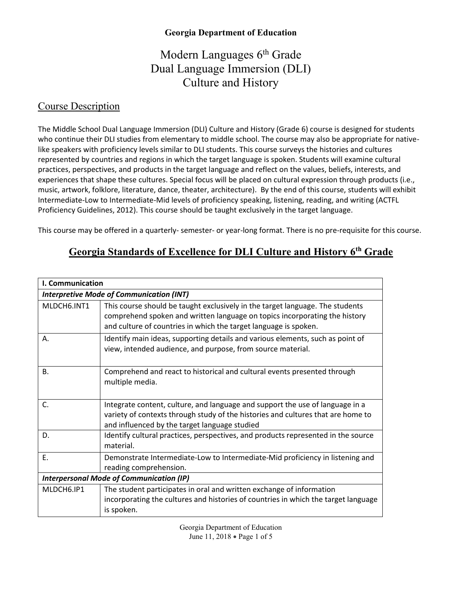# Modern Languages 6<sup>th</sup> Grade Dual Language Immersion (DLI) Culture and History

#### Course Description

The Middle School Dual Language Immersion (DLI) Culture and History (Grade 6) course is designed for students who continue their DLI studies from elementary to middle school. The course may also be appropriate for nativelike speakers with proficiency levels similar to DLI students. This course surveys the histories and cultures represented by countries and regions in which the target language is spoken. Students will examine cultural practices, perspectives, and products in the target language and reflect on the values, beliefs, interests, and experiences that shape these cultures. Special focus will be placed on cultural expression through products (i.e., music, artwork, folklore, literature, dance, theater, architecture). By the end of this course, students will exhibit Intermediate-Low to Intermediate-Mid levels of proficiency speaking, listening, reading, and writing (ACTFL Proficiency Guidelines, 2012). This course should be taught exclusively in the target language.

This course may be offered in a quarterly- semester- or year-long format. There is no pre-requisite for this course.

## **Georgia Standards of Excellence for DLI Culture and History 6th Grade**

| I. Communication |                                                                                                                                                                                                                                 |
|------------------|---------------------------------------------------------------------------------------------------------------------------------------------------------------------------------------------------------------------------------|
|                  | <b>Interpretive Mode of Communication (INT)</b>                                                                                                                                                                                 |
| MLDCH6.INT1      | This course should be taught exclusively in the target language. The students<br>comprehend spoken and written language on topics incorporating the history<br>and culture of countries in which the target language is spoken. |
| Α.               | Identify main ideas, supporting details and various elements, such as point of<br>view, intended audience, and purpose, from source material.                                                                                   |
| <b>B.</b>        | Comprehend and react to historical and cultural events presented through<br>multiple media.                                                                                                                                     |
| C.               | Integrate content, culture, and language and support the use of language in a<br>variety of contexts through study of the histories and cultures that are home to<br>and influenced by the target language studied              |
| D.               | Identify cultural practices, perspectives, and products represented in the source<br>material.                                                                                                                                  |
| Ε.               | Demonstrate Intermediate-Low to Intermediate-Mid proficiency in listening and<br>reading comprehension.                                                                                                                         |
|                  | <b>Interpersonal Mode of Communication (IP)</b>                                                                                                                                                                                 |
| MLDCH6.IP1       | The student participates in oral and written exchange of information<br>incorporating the cultures and histories of countries in which the target language<br>is spoken.                                                        |

Georgia Department of Education June 11, 2018 • Page 1 of 5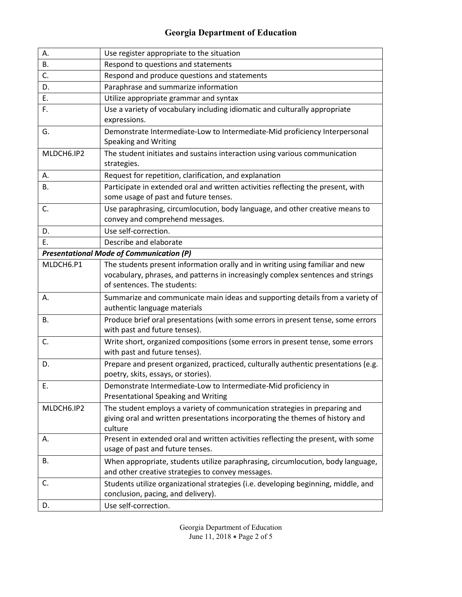| А.         | Use register appropriate to the situation                                                                                                                                                       |
|------------|-------------------------------------------------------------------------------------------------------------------------------------------------------------------------------------------------|
| В.         | Respond to questions and statements                                                                                                                                                             |
| C.         | Respond and produce questions and statements                                                                                                                                                    |
| D.         | Paraphrase and summarize information                                                                                                                                                            |
| Ε.         | Utilize appropriate grammar and syntax                                                                                                                                                          |
| F.         | Use a variety of vocabulary including idiomatic and culturally appropriate<br>expressions.                                                                                                      |
| G.         | Demonstrate Intermediate-Low to Intermediate-Mid proficiency Interpersonal<br>Speaking and Writing                                                                                              |
| MLDCH6.IP2 | The student initiates and sustains interaction using various communication<br>strategies.                                                                                                       |
| А.         | Request for repetition, clarification, and explanation                                                                                                                                          |
| В.         | Participate in extended oral and written activities reflecting the present, with<br>some usage of past and future tenses.                                                                       |
| C.         | Use paraphrasing, circumlocution, body language, and other creative means to<br>convey and comprehend messages.                                                                                 |
| D.         | Use self-correction.                                                                                                                                                                            |
| Ε.         | Describe and elaborate                                                                                                                                                                          |
|            | <b>Presentational Mode of Communication (P)</b>                                                                                                                                                 |
| MLDCH6.P1  | The students present information orally and in writing using familiar and new<br>vocabulary, phrases, and patterns in increasingly complex sentences and strings<br>of sentences. The students: |
| А.         | Summarize and communicate main ideas and supporting details from a variety of<br>authentic language materials                                                                                   |
| В.         | Produce brief oral presentations (with some errors in present tense, some errors<br>with past and future tenses).                                                                               |
| C.         | Write short, organized compositions (some errors in present tense, some errors<br>with past and future tenses).                                                                                 |
| D.         | Prepare and present organized, practiced, culturally authentic presentations (e.g.<br>poetry, skits, essays, or stories).                                                                       |
| E.         | Demonstrate Intermediate-Low to Intermediate-Mid proficiency in<br>Presentational Speaking and Writing                                                                                          |
| MLDCH6.IP2 | The student employs a variety of communication strategies in preparing and<br>giving oral and written presentations incorporating the themes of history and<br>culture                          |
| А.         | Present in extended oral and written activities reflecting the present, with some<br>usage of past and future tenses.                                                                           |
| В.         | When appropriate, students utilize paraphrasing, circumlocution, body language,<br>and other creative strategies to convey messages.                                                            |
| C.         | Students utilize organizational strategies (i.e. developing beginning, middle, and<br>conclusion, pacing, and delivery).                                                                        |
| D.         | Use self-correction.                                                                                                                                                                            |

Georgia Department of Education June 11, 2018 • Page 2 of 5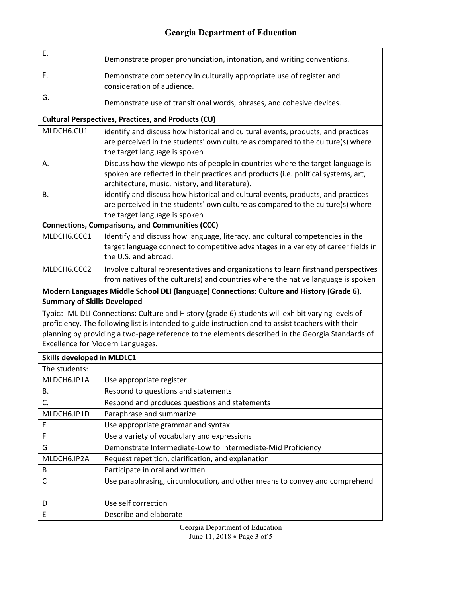| Ε.                                 | Demonstrate proper pronunciation, intonation, and writing conventions.                                                                                                                                                                                                                                      |
|------------------------------------|-------------------------------------------------------------------------------------------------------------------------------------------------------------------------------------------------------------------------------------------------------------------------------------------------------------|
| F.                                 | Demonstrate competency in culturally appropriate use of register and<br>consideration of audience.                                                                                                                                                                                                          |
| G.                                 | Demonstrate use of transitional words, phrases, and cohesive devices.                                                                                                                                                                                                                                       |
|                                    | <b>Cultural Perspectives, Practices, and Products (CU)</b>                                                                                                                                                                                                                                                  |
| MLDCH6.CU1                         | identify and discuss how historical and cultural events, products, and practices<br>are perceived in the students' own culture as compared to the culture(s) where<br>the target language is spoken                                                                                                         |
| Α.                                 | Discuss how the viewpoints of people in countries where the target language is<br>spoken are reflected in their practices and products (i.e. political systems, art,<br>architecture, music, history, and literature).                                                                                      |
| В.                                 | identify and discuss how historical and cultural events, products, and practices<br>are perceived in the students' own culture as compared to the culture(s) where<br>the target language is spoken                                                                                                         |
|                                    | <b>Connections, Comparisons, and Communities (CCC)</b>                                                                                                                                                                                                                                                      |
| MLDCH6.CCC1                        | Identify and discuss how language, literacy, and cultural competencies in the<br>target language connect to competitive advantages in a variety of career fields in<br>the U.S. and abroad.                                                                                                                 |
| MLDCH6.CCC2                        | Involve cultural representatives and organizations to learn firsthand perspectives<br>from natives of the culture(s) and countries where the native language is spoken                                                                                                                                      |
|                                    |                                                                                                                                                                                                                                                                                                             |
| <b>Summary of Skills Developed</b> | Modern Languages Middle School DLI (language) Connections: Culture and History (Grade 6).                                                                                                                                                                                                                   |
| Excellence for Modern Languages.   | Typical ML DLI Connections: Culture and History (grade 6) students will exhibit varying levels of<br>proficiency. The following list is intended to guide instruction and to assist teachers with their<br>planning by providing a two-page reference to the elements described in the Georgia Standards of |
| <b>Skills developed in MLDLC1</b>  |                                                                                                                                                                                                                                                                                                             |
| The students:                      |                                                                                                                                                                                                                                                                                                             |
| MLDCH6.IP1A                        | Use appropriate register                                                                                                                                                                                                                                                                                    |
| В.                                 | Respond to questions and statements                                                                                                                                                                                                                                                                         |
| C.                                 | Respond and produces questions and statements                                                                                                                                                                                                                                                               |
| MLDCH6.IP1D                        | Paraphrase and summarize                                                                                                                                                                                                                                                                                    |
| E                                  | Use appropriate grammar and syntax                                                                                                                                                                                                                                                                          |
| F                                  | Use a variety of vocabulary and expressions                                                                                                                                                                                                                                                                 |
| G                                  | Demonstrate Intermediate-Low to Intermediate-Mid Proficiency                                                                                                                                                                                                                                                |
| MLDCH6.IP2A                        | Request repetition, clarification, and explanation                                                                                                                                                                                                                                                          |
| В                                  | Participate in oral and written                                                                                                                                                                                                                                                                             |
| С                                  | Use paraphrasing, circumlocution, and other means to convey and comprehend                                                                                                                                                                                                                                  |
| D                                  | Use self correction                                                                                                                                                                                                                                                                                         |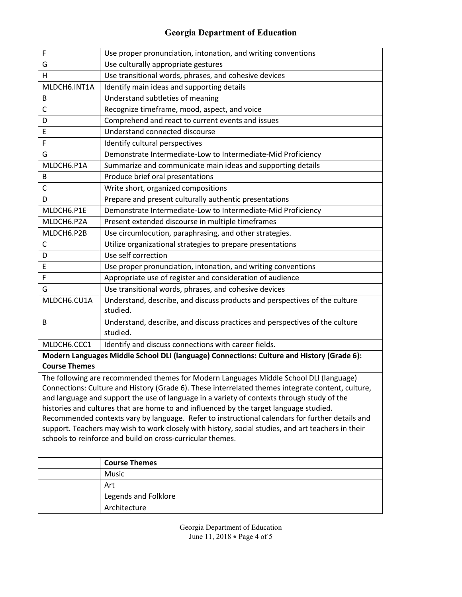| $\mathsf F$  | Use proper pronunciation, intonation, and writing conventions                             |
|--------------|-------------------------------------------------------------------------------------------|
| G            | Use culturally appropriate gestures                                                       |
| H            | Use transitional words, phrases, and cohesive devices                                     |
| MLDCH6.INT1A | Identify main ideas and supporting details                                                |
| B            | Understand subtleties of meaning                                                          |
| C            | Recognize timeframe, mood, aspect, and voice                                              |
| D            | Comprehend and react to current events and issues                                         |
| E            | Understand connected discourse                                                            |
| F            | Identify cultural perspectives                                                            |
| G            | Demonstrate Intermediate-Low to Intermediate-Mid Proficiency                              |
| MLDCH6.P1A   | Summarize and communicate main ideas and supporting details                               |
| B            | Produce brief oral presentations                                                          |
| $\mathsf{C}$ | Write short, organized compositions                                                       |
| D            | Prepare and present culturally authentic presentations                                    |
| MLDCH6.P1E   | Demonstrate Intermediate-Low to Intermediate-Mid Proficiency                              |
| MLDCH6.P2A   | Present extended discourse in multiple timeframes                                         |
| MLDCH6.P2B   | Use circumlocution, paraphrasing, and other strategies.                                   |
| C            | Utilize organizational strategies to prepare presentations                                |
| D            | Use self correction                                                                       |
| E            | Use proper pronunciation, intonation, and writing conventions                             |
| F            | Appropriate use of register and consideration of audience                                 |
| G            | Use transitional words, phrases, and cohesive devices                                     |
| MLDCH6.CU1A  | Understand, describe, and discuss products and perspectives of the culture                |
|              | studied.                                                                                  |
| B            | Understand, describe, and discuss practices and perspectives of the culture               |
|              | studied.                                                                                  |
| MLDCH6.CCC1  | Identify and discuss connections with career fields.                                      |
|              | Modern Languages Middle School DLI (Janguage) Connections: Culture and History (Grade 6): |

**Modern Languages Middle School DLI (language) Connections: Culture and History (Grade 6): Course Themes**

The following are recommended themes for Modern Languages Middle School DLI (language) Connections: Culture and History (Grade 6). These interrelated themes integrate content, culture, and language and support the use of language in a variety of contexts through study of the histories and cultures that are home to and influenced by the target language studied. Recommended contexts vary by language. Refer to instructional calendars for further details and support. Teachers may wish to work closely with history, social studies, and art teachers in their schools to reinforce and build on cross-curricular themes.

| <b>Course Themes</b> |
|----------------------|
| Music                |
| Art                  |
| Legends and Folklore |
| Architecture         |